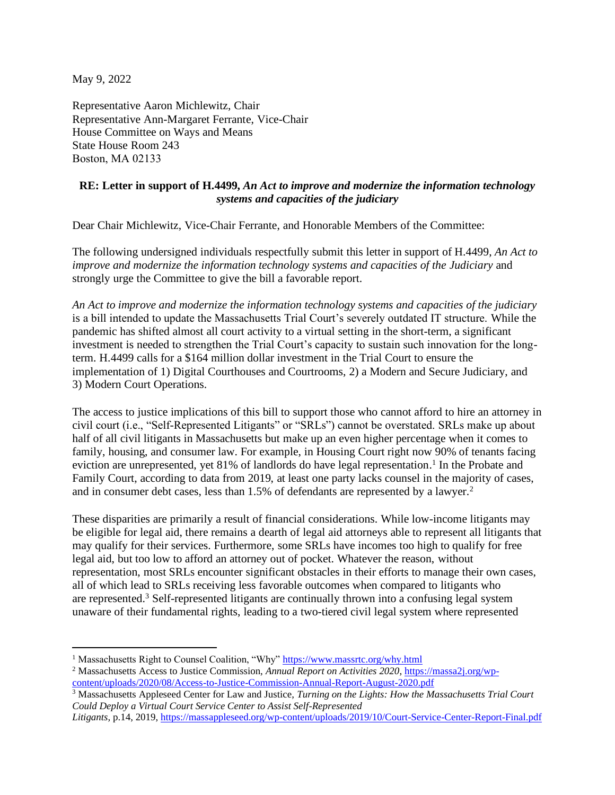May 9, 2022

Representative Aaron Michlewitz, Chair Representative Ann-Margaret Ferrante, Vice-Chair House Committee on Ways and Means State House Room 243 Boston, MA 02133   

## **RE: Letter in support of H.4499,** *An Act to improve and modernize the information technology systems and capacities of the judiciary*

Dear Chair Michlewitz, Vice-Chair Ferrante, and Honorable Members of the Committee:

The following undersigned individuals respectfully submit this letter in support of H.4499, *An Act to improve and modernize the information technology systems and capacities of the Judiciary* and strongly urge the Committee to give the bill a favorable report.

*An Act to improve and modernize the information technology systems and capacities of the judiciary*  is a bill intended to update the Massachusetts Trial Court's severely outdated IT structure. While the pandemic has shifted almost all court activity to a virtual setting in the short-term, a significant investment is needed to strengthen the Trial Court's capacity to sustain such innovation for the longterm. H.4499 calls for a \$164 million dollar investment in the Trial Court to ensure the implementation of 1) Digital Courthouses and Courtrooms, 2) a Modern and Secure Judiciary, and 3) Modern Court Operations.

The access to justice implications of this bill to support those who cannot afford to hire an attorney in civil court (i.e., "Self-Represented Litigants" or "SRLs") cannot be overstated. SRLs make up about half of all civil litigants in Massachusetts but make up an even higher percentage when it comes to family, housing, and consumer law. For example, in Housing Court right now 90% of tenants facing eviction are unrepresented, yet 81% of landlords do have legal representation.<sup>1</sup> In the Probate and Family Court, according to data from 2019, at least one party lacks counsel in the majority of cases, and in consumer debt cases, less than 1.5% of defendants are represented by a lawyer.<sup>2</sup>

These disparities are primarily a result of financial considerations. While low-income litigants may be eligible for legal aid, there remains a dearth of legal aid attorneys able to represent all litigants that may qualify for their services. Furthermore, some SRLs have incomes too high to qualify for free legal aid, but too low to afford an attorney out of pocket. Whatever the reason, without representation, most SRLs encounter significant obstacles in their efforts to manage their own cases, all of which lead to SRLs receiving less favorable outcomes when compared to litigants who are represented.<sup>3</sup> Self-represented litigants are continually thrown into a confusing legal system unaware of their fundamental rights, leading to a two-tiered civil legal system where represented

<sup>&</sup>lt;sup>1</sup> Massachusetts Right to Counsel Coalition, "Why" <https://www.massrtc.org/why.html>

<sup>2</sup> Massachusetts Access to Justice Commission, *Annual Report on Activities 2020*, [https://massa2j.org/wp](https://massa2j.org/wp-content/uploads/2020/08/Access-to-Justice-Commission-Annual-Report-August-2020.pdf)[content/uploads/2020/08/Access-to-Justice-Commission-Annual-Report-August-2020.pdf](https://massa2j.org/wp-content/uploads/2020/08/Access-to-Justice-Commission-Annual-Report-August-2020.pdf)

<sup>3</sup> Massachusetts Appleseed Center for Law and Justice, *Turning on the Lights: How the Massachusetts Trial Court Could Deploy a Virtual Court Service Center to Assist Self-Represented* 

*Litigants,* p.14, 2019, <https://massappleseed.org/wp-content/uploads/2019/10/Court-Service-Center-Report-Final.pdf>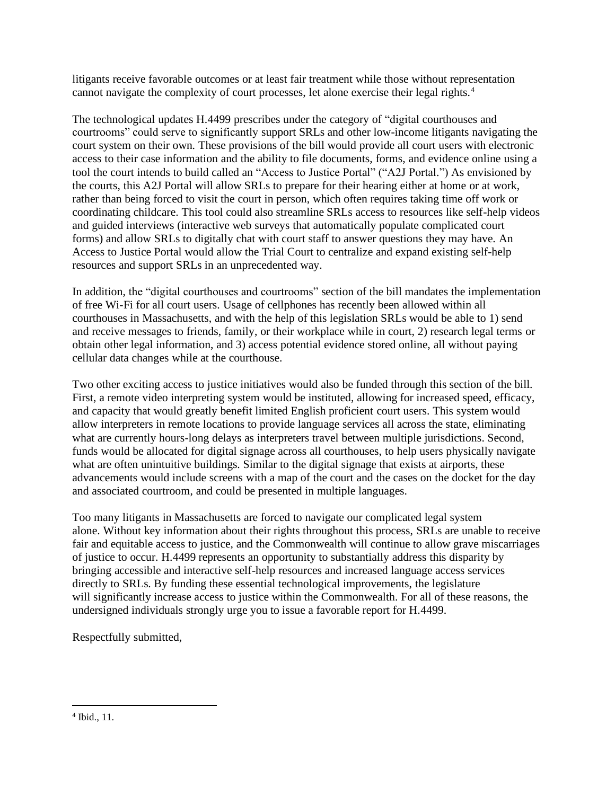litigants receive favorable outcomes or at least fair treatment while those without representation cannot navigate the complexity of court processes, let alone exercise their legal rights.<sup>4</sup>

The technological updates H.4499 prescribes under the category of "digital courthouses and courtrooms" could serve to significantly support SRLs and other low-income litigants navigating the court system on their own. These provisions of the bill would provide all court users with electronic access to their case information and the ability to file documents, forms, and evidence online using a tool the court intends to build called an "Access to Justice Portal" ("A2J Portal.") As envisioned by the courts, this A2J Portal will allow SRLs to prepare for their hearing either at home or at work, rather than being forced to visit the court in person, which often requires taking time off work or coordinating childcare. This tool could also streamline SRLs access to resources like self-help videos and guided interviews (interactive web surveys that automatically populate complicated court forms) and allow SRLs to digitally chat with court staff to answer questions they may have. An Access to Justice Portal would allow the Trial Court to centralize and expand existing self-help resources and support SRLs in an unprecedented way.

In addition, the "digital courthouses and courtrooms" section of the bill mandates the implementation of free Wi-Fi for all court users. Usage of cellphones has recently been allowed within all courthouses in Massachusetts, and with the help of this legislation SRLs would be able to 1) send and receive messages to friends, family, or their workplace while in court, 2) research legal terms or obtain other legal information, and 3) access potential evidence stored online, all without paying cellular data changes while at the courthouse.

Two other exciting access to justice initiatives would also be funded through this section of the bill. First, a remote video interpreting system would be instituted, allowing for increased speed, efficacy, and capacity that would greatly benefit limited English proficient court users. This system would allow interpreters in remote locations to provide language services all across the state, eliminating what are currently hours-long delays as interpreters travel between multiple jurisdictions. Second, funds would be allocated for digital signage across all courthouses, to help users physically navigate what are often unintuitive buildings. Similar to the digital signage that exists at airports, these advancements would include screens with a map of the court and the cases on the docket for the day and associated courtroom, and could be presented in multiple languages.

Too many litigants in Massachusetts are forced to navigate our complicated legal system alone. Without key information about their rights throughout this process, SRLs are unable to receive fair and equitable access to justice, and the Commonwealth will continue to allow grave miscarriages of justice to occur. H.4499 represents an opportunity to substantially address this disparity by bringing accessible and interactive self-help resources and increased language access services directly to SRLs. By funding these essential technological improvements, the legislature will significantly increase access to justice within the Commonwealth. For all of these reasons, the undersigned individuals strongly urge you to issue a favorable report for H.4499.

Respectfully submitted,

<sup>4</sup> Ibid., 11.